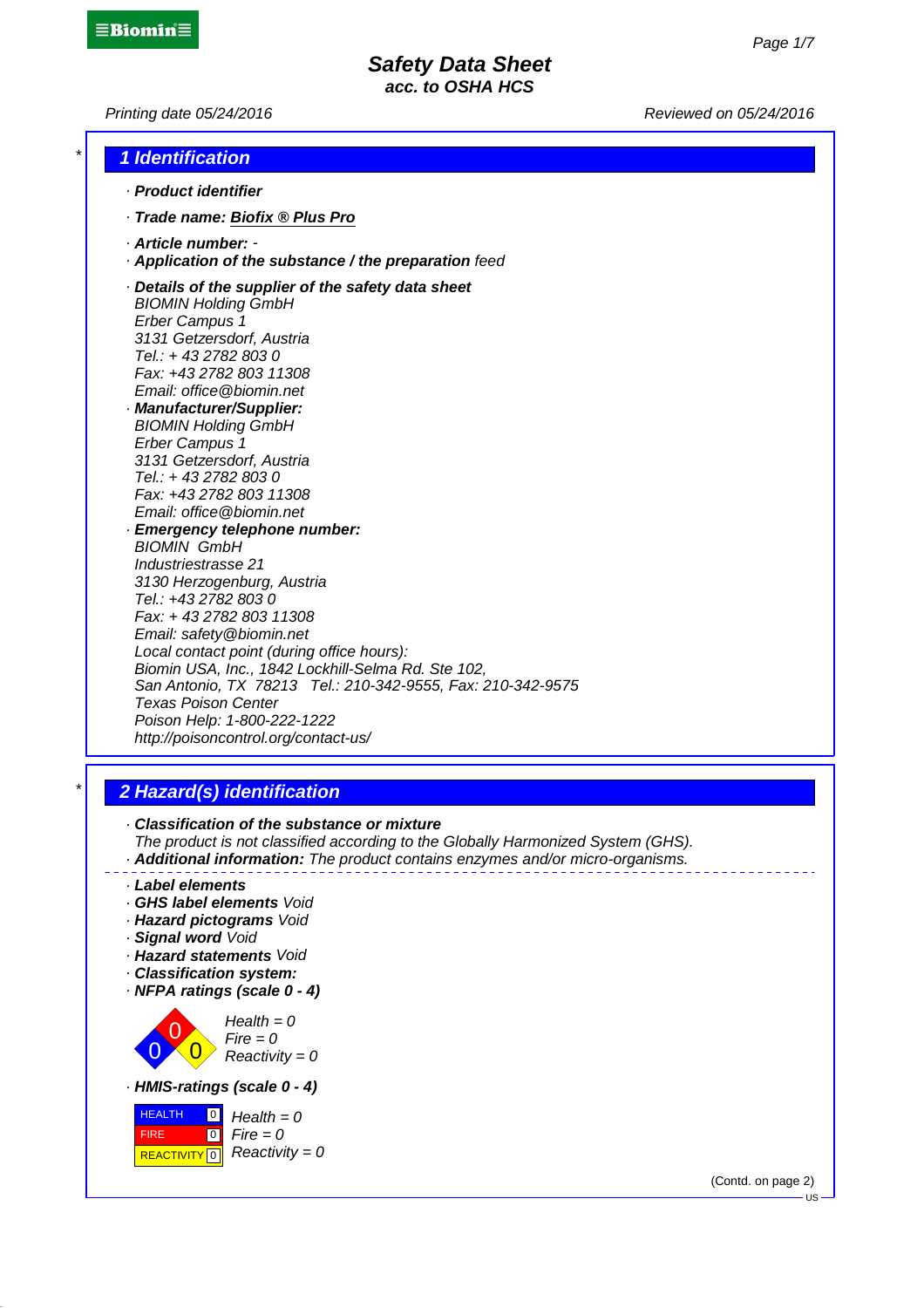**Safety Data Sheet acc. to OSHA HCS**

 $\equiv$ Biomin $\equiv$ 

Printing date 05/24/2016 **Printing date 05/24/2016** Reviewed on 05/24/2016

|  |  | 1 Identification |  |  |
|--|--|------------------|--|--|
|  |  |                  |  |  |

- · **Product identifier**
- · **Trade name: Biofix ® Plus Pro**
- · **Article number:** -
- · **Application of the substance / the preparation** feed
- · **Details of the supplier of the safety data sheet** BIOMIN Holding GmbH Erber Campus 1 3131 Getzersdorf, Austria Tel.: + 43 2782 803 0 Fax: +43 2782 803 11308 Email: office@biomin.net
- · **Manufacturer/Supplier:** BIOMIN Holding GmbH Erber Campus 1 3131 Getzersdorf, Austria Tel.: + 43 2782 803 0 Fax: +43 2782 803 11308 Email: office@biomin.net
- · **Emergency telephone number:** BIOMIN GmbH Industriestrasse 21 3130 Herzogenburg, Austria Tel.: +43 2782 803 0 Fax: + 43 2782 803 11308 Email: safety@biomin.net Local contact point (during office hours): Biomin USA, Inc., 1842 Lockhill-Selma Rd. Ste 102, San Antonio, TX 78213 Tel.: 210-342-9555, Fax: 210-342-9575 Texas Poison Center Poison Help: 1-800-222-1222 http://poisoncontrol.org/contact-us/

#### \* **2 Hazard(s) identification**

· **Classification of the substance or mixture** The product is not classified according to the Globally Harmonized System (GHS). · **Additional information:** The product contains enzymes and/or micro-organisms. · **Label elements** · **GHS label elements** Void · **Hazard pictograms** Void · **Signal word** Void · **Hazard statements** Void · **Classification system:** · **NFPA ratings (scale 0 - 4)** 0 0  $\overline{0}$  $Health = 0$  $Fire = 0$  $Reactivity = 0$ · **HMIS-ratings (scale 0 - 4) HEALTH**  FIRE **REACTIVITY** 0  $\boxed{0}$  $\overline{10}$  $Health = 0$  $Fire = 0$  $Reactivity = 0$ (Contd. on page 2)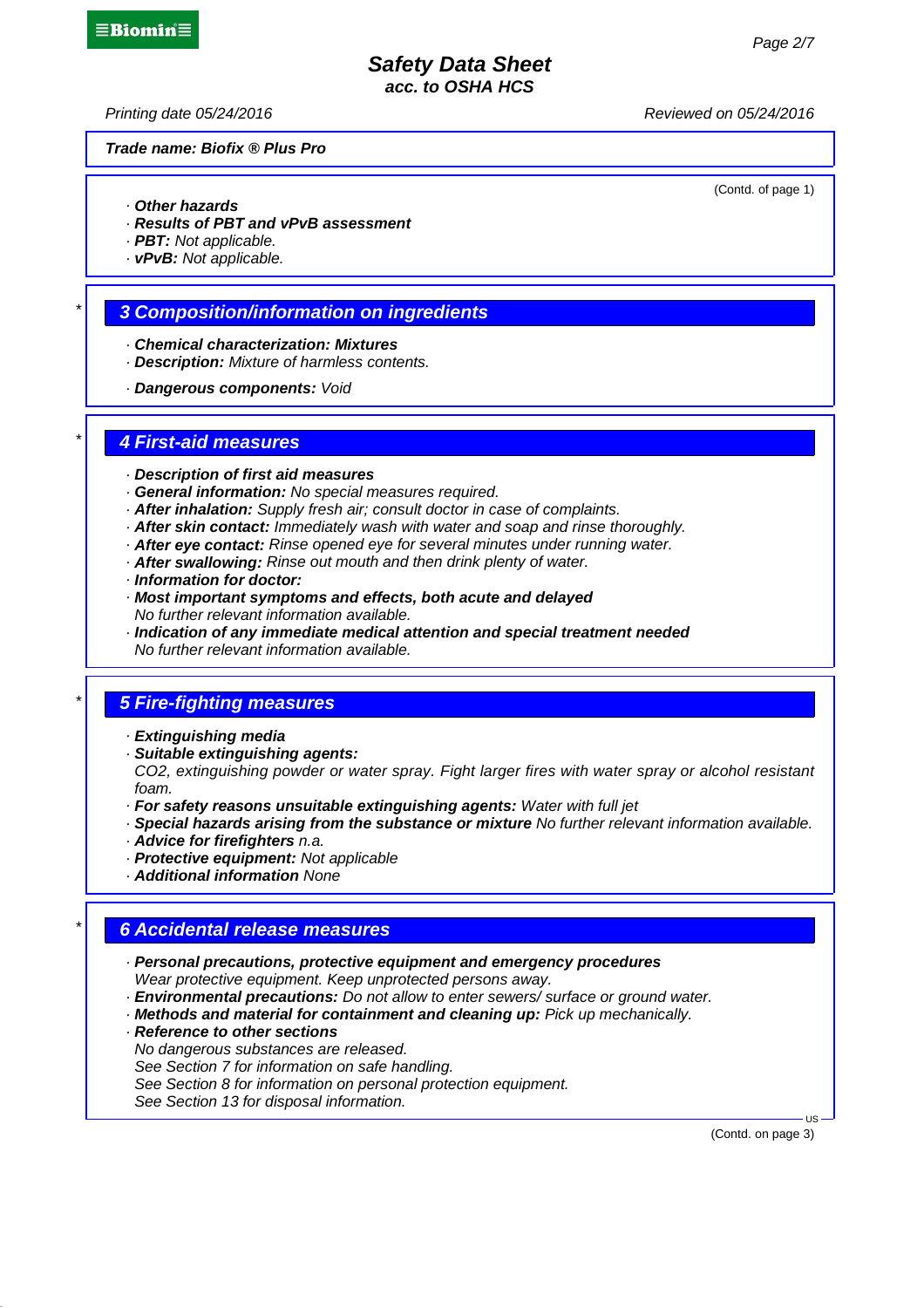**acc. to OSHA HCS**

Printing date 05/24/2016 **Printing date 05/24/2016** Reviewed on 05/24/2016

**Trade name: Biofix ® Plus Pro**

- · **Other hazards**
- · **Results of PBT and vPvB assessment**
- · **PBT:** Not applicable.
- · **vPvB:** Not applicable.

#### \* **3 Composition/information on ingredients**

- · **Chemical characterization: Mixtures**
- · **Description:** Mixture of harmless contents.
- · **Dangerous components:** Void

#### \* **4 First-aid measures**

· **Description of first aid measures**

- · **General information:** No special measures required.
- · **After inhalation:** Supply fresh air; consult doctor in case of complaints.
- · **After skin contact:** Immediately wash with water and soap and rinse thoroughly.
- · **After eye contact:** Rinse opened eye for several minutes under running water.
- · **After swallowing:** Rinse out mouth and then drink plenty of water.
- · **Information for doctor:**
- · **Most important symptoms and effects, both acute and delayed** No further relevant information available.
- · **Indication of any immediate medical attention and special treatment needed** No further relevant information available.

## \* **5 Fire-fighting measures**

- · **Extinguishing media**
- · **Suitable extinguishing agents:**

CO2, extinguishing powder or water spray. Fight larger fires with water spray or alcohol resistant foam.

- · **For safety reasons unsuitable extinguishing agents:** Water with full jet
- · **Special hazards arising from the substance or mixture** No further relevant information available.
- · **Advice for firefighters** n.a.
- · **Protective equipment:** Not applicable
- · **Additional information** None

#### \* **6 Accidental release measures**

- · **Personal precautions, protective equipment and emergency procedures**
- Wear protective equipment. Keep unprotected persons away.
- · **Environmental precautions:** Do not allow to enter sewers/ surface or ground water.
- · **Methods and material for containment and cleaning up:** Pick up mechanically.
- · **Reference to other sections** No dangerous substances are released. See Section 7 for information on safe handling. See Section 8 for information on personal protection equipment.

See Section 13 for disposal information.

(Contd. on page 3)

US

# $\equiv$ Biomin $\equiv$

(Contd. of page 1)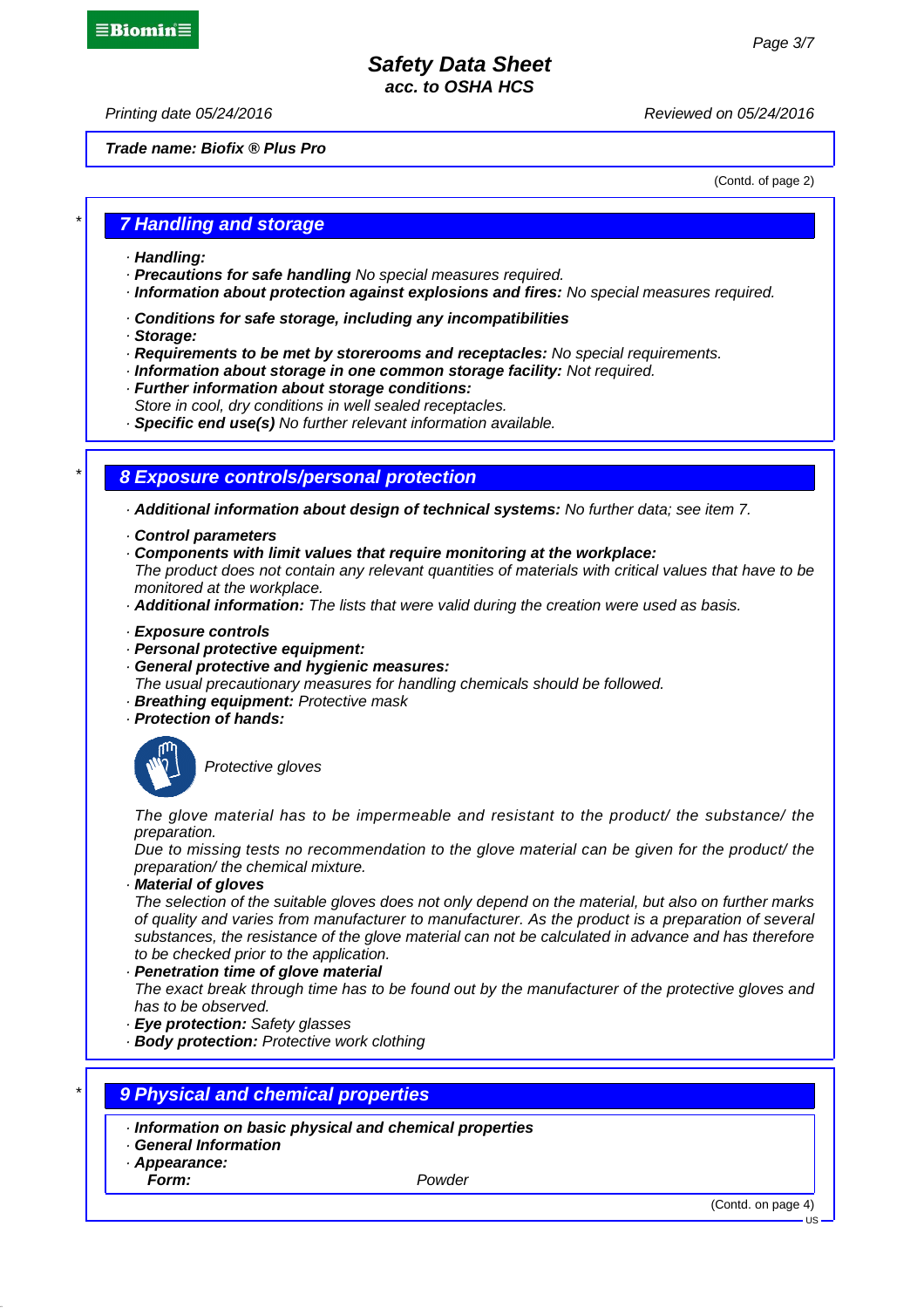**acc. to OSHA HCS**

 $\equiv$ Biomin $\equiv$ 

Printing date 05/24/2016 **Printing date 05/24/2016** Reviewed on 05/24/2016

#### **Trade name: Biofix ® Plus Pro**

(Contd. of page 2)

### \* **7 Handling and storage**

- · **Handling:**
- · **Precautions for safe handling** No special measures required.
- · **Information about protection against explosions and fires:** No special measures required.
- · **Conditions for safe storage, including any incompatibilities**
- · **Storage:**
- · **Requirements to be met by storerooms and receptacles:** No special requirements.
- · **Information about storage in one common storage facility:** Not required.
- · **Further information about storage conditions:**
- Store in cool, dry conditions in well sealed receptacles.
- · **Specific end use(s)** No further relevant information available.

#### \* **8 Exposure controls/personal protection**

· **Additional information about design of technical systems:** No further data; see item 7.

- · **Control parameters**
- · **Components with limit values that require monitoring at the workplace:**

The product does not contain any relevant quantities of materials with critical values that have to be monitored at the workplace.

- · **Additional information:** The lists that were valid during the creation were used as basis.
- · **Exposure controls**
- · **Personal protective equipment:**
- · **General protective and hygienic measures:**
- The usual precautionary measures for handling chemicals should be followed.
- · **Breathing equipment:** Protective mask
- · **Protection of hands:**



Protective gloves

The glove material has to be impermeable and resistant to the product/ the substance/ the preparation.

Due to missing tests no recommendation to the glove material can be given for the product/ the preparation/ the chemical mixture.

· **Material of gloves**

The selection of the suitable gloves does not only depend on the material, but also on further marks of quality and varies from manufacturer to manufacturer. As the product is a preparation of several substances, the resistance of the glove material can not be calculated in advance and has therefore to be checked prior to the application.

· **Penetration time of glove material**

The exact break through time has to be found out by the manufacturer of the protective gloves and has to be observed.

- · **Eye protection:** Safety glasses
- · **Body protection:** Protective work clothing

# \* **9 Physical and chemical properties**

- · **Information on basic physical and chemical properties**
- · **General Information**
- · **Appearance:**

**Form:** Powder

(Contd. on page 4)

US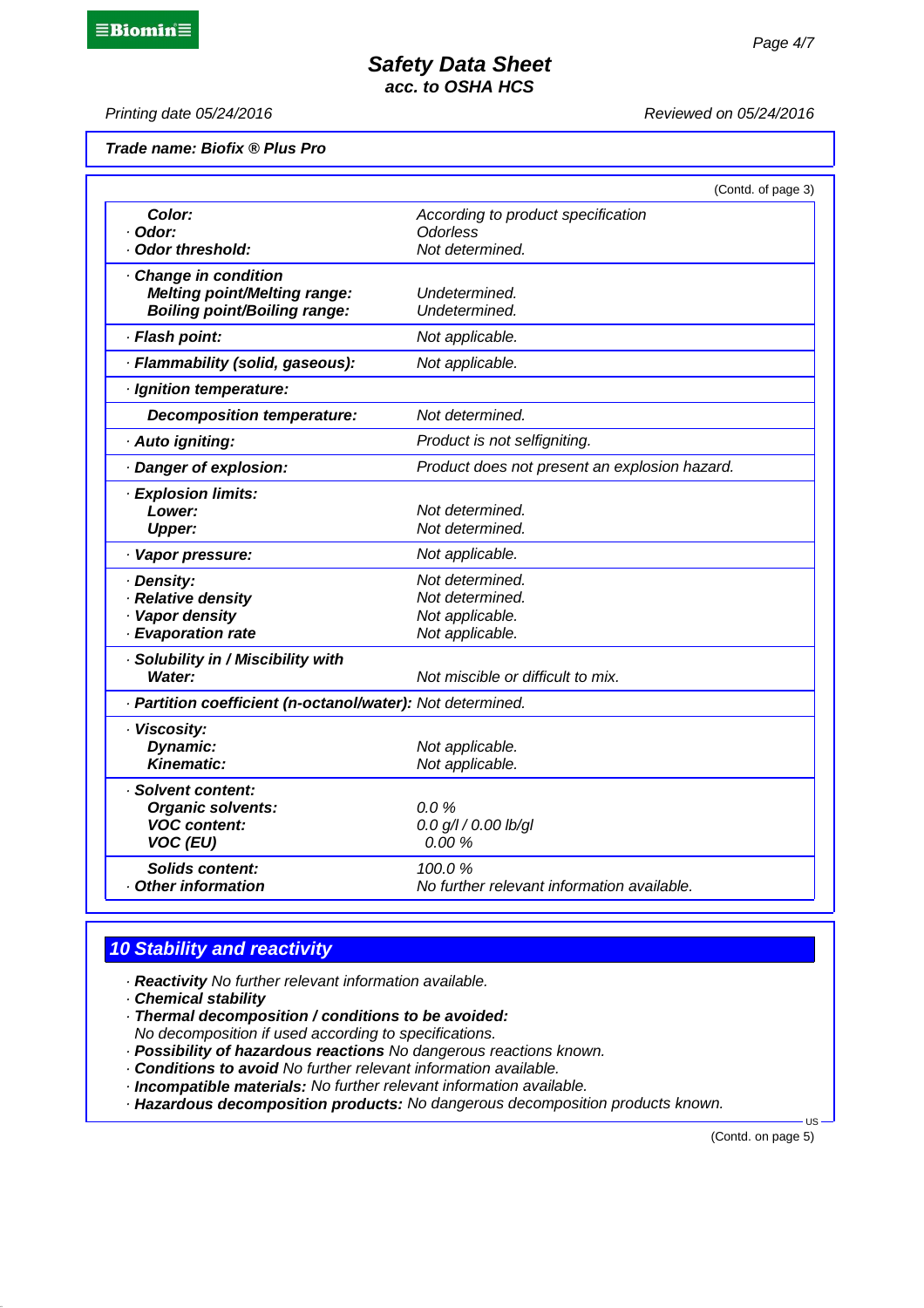# **Safety Data Sheet acc. to OSHA HCS**

Printing date 05/24/2016 **Printing date 05/24/2016** Reviewed on 05/24/2016

**Trade name: Biofix ® Plus Pro**

|                                     | (Contd. of page 3)                                         |  |  |  |  |
|-------------------------------------|------------------------------------------------------------|--|--|--|--|
| Color:                              | According to product specification                         |  |  |  |  |
| · Odor:                             | Odorless                                                   |  |  |  |  |
| · Odor threshold:                   | Not determined.                                            |  |  |  |  |
| Change in condition                 |                                                            |  |  |  |  |
| <b>Melting point/Melting range:</b> | Undetermined.                                              |  |  |  |  |
| <b>Boiling point/Boiling range:</b> | Undetermined.                                              |  |  |  |  |
| · Flash point:                      | Not applicable.                                            |  |  |  |  |
| · Flammability (solid, gaseous):    | Not applicable.                                            |  |  |  |  |
| · Ignition temperature:             |                                                            |  |  |  |  |
| <b>Decomposition temperature:</b>   | Not determined.                                            |  |  |  |  |
| · Auto igniting:                    | Product is not selfigniting.                               |  |  |  |  |
| · Danger of explosion:              | Product does not present an explosion hazard.              |  |  |  |  |
| · Explosion limits:                 |                                                            |  |  |  |  |
| Lower:                              | Not determined.                                            |  |  |  |  |
| <b>Upper:</b>                       | Not determined.                                            |  |  |  |  |
| · Vapor pressure:                   | Not applicable.                                            |  |  |  |  |
| · Density:                          | Not determined.                                            |  |  |  |  |
| · Relative density                  | Not determined.                                            |  |  |  |  |
| · Vapor density                     | Not applicable.                                            |  |  |  |  |
| · Evaporation rate                  | Not applicable.                                            |  |  |  |  |
| · Solubility in / Miscibility with  |                                                            |  |  |  |  |
| Water:                              | Not miscible or difficult to mix.                          |  |  |  |  |
|                                     | · Partition coefficient (n-octanol/water): Not determined. |  |  |  |  |
| · Viscosity:                        |                                                            |  |  |  |  |
| Dynamic:                            | Not applicable.                                            |  |  |  |  |
| Kinematic:                          | Not applicable.                                            |  |  |  |  |
| · Solvent content:                  |                                                            |  |  |  |  |
| <b>Organic solvents:</b>            | 0.0 %                                                      |  |  |  |  |
| <b>VOC content:</b>                 | 0.0 g/l / 0.00 lb/gl                                       |  |  |  |  |
| VOC (EU)                            | 0.00%                                                      |  |  |  |  |
| <b>Solids content:</b>              | 100.0%                                                     |  |  |  |  |
| <b>Other information</b>            | No further relevant information available.                 |  |  |  |  |

# **10 Stability and reactivity**

- · **Reactivity** No further relevant information available.
- · **Chemical stability**
- · **Thermal decomposition / conditions to be avoided:**

No decomposition if used according to specifications.

- · **Possibility of hazardous reactions** No dangerous reactions known.
- · **Conditions to avoid** No further relevant information available.
- · **Incompatible materials:** No further relevant information available.
- · **Hazardous decomposition products:** No dangerous decomposition products known.

(Contd. on page 5)

US

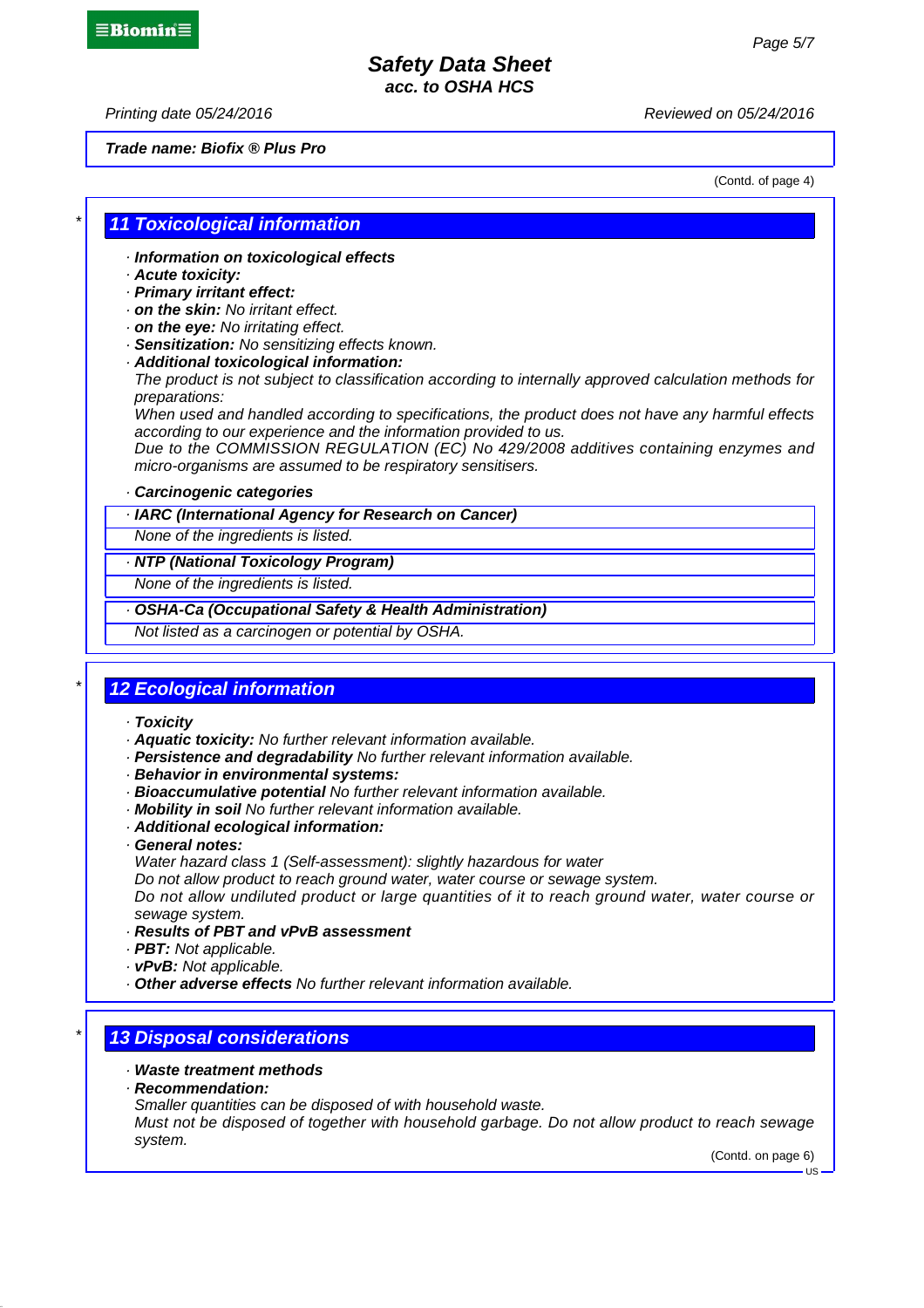**acc. to OSHA HCS**

Printing date 05/24/2016 **Printing date 05/24/2016** Reviewed on 05/24/2016

**Trade name: Biofix ® Plus Pro**

(Contd. of page 4)

### \* **11 Toxicological information**

- · **Information on toxicological effects**
- · **Acute toxicity:**
- · **Primary irritant effect:**
- · **on the skin:** No irritant effect.
- · **on the eye:** No irritating effect.
- · **Sensitization:** No sensitizing effects known.
- · **Additional toxicological information:**

The product is not subject to classification according to internally approved calculation methods for preparations:

When used and handled according to specifications, the product does not have any harmful effects according to our experience and the information provided to us.

Due to the COMMISSION REGULATION (EC) No 429/2008 additives containing enzymes and micro-organisms are assumed to be respiratory sensitisers.

- · **Carcinogenic categories**
- · **IARC (International Agency for Research on Cancer)**

None of the ingredients is listed.

· **NTP (National Toxicology Program)**

None of the ingredients is listed.

· **OSHA-Ca (Occupational Safety & Health Administration)**

Not listed as a carcinogen or potential by OSHA.

## **12 Ecological information**

- · **Toxicity**
- · **Aquatic toxicity:** No further relevant information available.
- · **Persistence and degradability** No further relevant information available.
- · **Behavior in environmental systems:**
- · **Bioaccumulative potential** No further relevant information available.
- · **Mobility in soil** No further relevant information available.
- · **Additional ecological information:**
- · **General notes:**

Water hazard class 1 (Self-assessment): slightly hazardous for water

Do not allow product to reach ground water, water course or sewage system.

Do not allow undiluted product or large quantities of it to reach ground water, water course or sewage system.

- · **Results of PBT and vPvB assessment**
- · **PBT:** Not applicable.
- · **vPvB:** Not applicable.
- · **Other adverse effects** No further relevant information available.

## **13 Disposal considerations**

- · **Waste treatment methods**
- · **Recommendation:**
- Smaller quantities can be disposed of with household waste.

Must not be disposed of together with household garbage. Do not allow product to reach sewage system.

(Contd. on page 6)

US

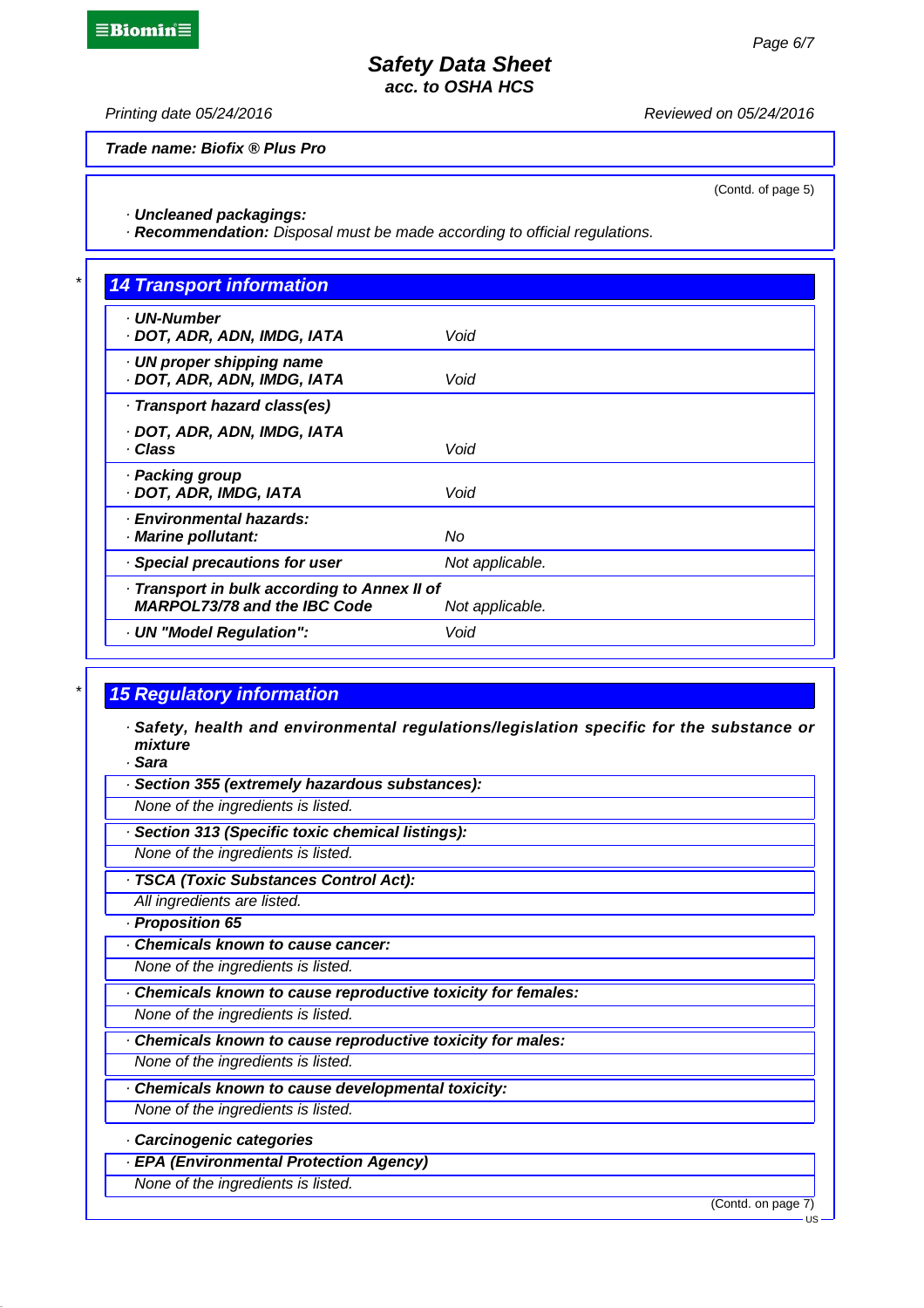**acc. to OSHA HCS**

Printing date 05/24/2016 **Printing date 05/24/2016** Reviewed on 05/24/2016

**Trade name: Biofix ® Plus Pro**

(Contd. of page 5)

· **Uncleaned packagings:**

· **Recommendation:** Disposal must be made according to official regulations.

| · UN-Number                                  |                 |
|----------------------------------------------|-----------------|
| · DOT, ADR, ADN, IMDG, IATA                  | Void            |
| · UN proper shipping name                    |                 |
| · DOT, ADR, ADN, IMDG, IATA                  | Void            |
| · Transport hazard class(es)                 |                 |
| · DOT, ADR, ADN, IMDG, IATA                  |                 |
| · Class                                      | Void            |
| · Packing group                              |                 |
| · DOT, ADR, IMDG, IATA                       | Void            |
| · Environmental hazards:                     |                 |
| · Marine pollutant:                          | No              |
| · Special precautions for user               | Not applicable. |
| · Transport in bulk according to Annex II of |                 |
| <b>MARPOL73/78 and the IBC Code</b>          | Not applicable. |
| · UN "Model Regulation":                     | Void            |

## **15 Regulatory information**

- · **Safety, health and environmental regulations/legislation specific for the substance or mixture**
- · **Sara**
- · **Section 355 (extremely hazardous substances):**
- None of the ingredients is listed.
- · **Section 313 (Specific toxic chemical listings):**
- None of the ingredients is listed.
- · **TSCA (Toxic Substances Control Act):**
- All ingredients are listed.
- · **Proposition 65**
- · **Chemicals known to cause cancer:**

None of the ingredients is listed.

· **Chemicals known to cause reproductive toxicity for females:**

None of the ingredients is listed.

· **Chemicals known to cause reproductive toxicity for males:**

None of the ingredients is listed.

- · **Chemicals known to cause developmental toxicity:** None of the ingredients is listed.
- · **Carcinogenic categories**
- · **EPA (Environmental Protection Agency)**

None of the ingredients is listed.

(Contd. on page 7)

US

 $\equiv$ Biomin $\equiv$